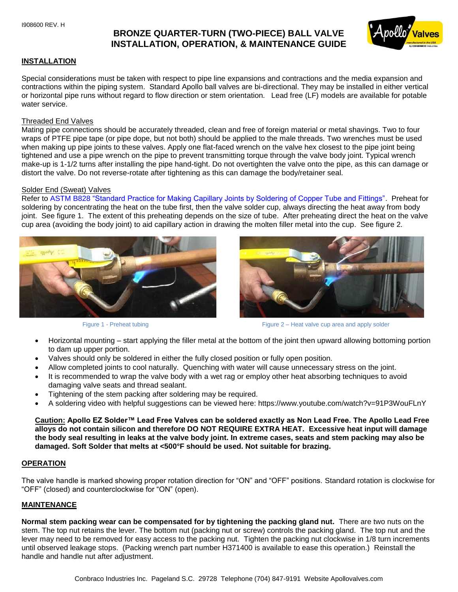# **BRONZE QUARTER-TURN (TWO-PIECE) BALL VALVE INSTALLATION, OPERATION, & MAINTENANCE GUIDE**



#### **INSTALLATION**

Special considerations must be taken with respect to pipe line expansions and contractions and the media expansion and contractions within the piping system. Standard Apollo ball valves are bi-directional. They may be installed in either vertical or horizontal pipe runs without regard to flow direction or stem orientation. Lead free (LF) models are available for potable water service.

#### Threaded End Valves

Mating pipe connections should be accurately threaded, clean and free of foreign material or metal shavings. Two to four wraps of PTFE pipe tape (or pipe dope, but not both) should be applied to the male threads. Two wrenches must be used when making up pipe joints to these valves. Apply one flat-faced wrench on the valve hex closest to the pipe joint being tightened and use a pipe wrench on the pipe to prevent transmitting torque through the valve body joint. Typical wrench make-up is 1-1/2 turns after installing the pipe hand-tight. Do not overtighten the valve onto the pipe, as this can damage or distort the valve. Do not reverse-rotate after tightening as this can damage the body/retainer seal.

#### Solder End (Sweat) Valves

Refer to ASTM B828 "Standard Practice for Making Capillary Joints by Soldering of Copper Tube and Fittings". Preheat for soldering by concentrating the heat on the tube first, then the valve solder cup, always directing the heat away from body joint. See figure 1. The extent of this preheating depends on the size of tube. After preheating direct the heat on the valve cup area (avoiding the body joint) to aid capillary action in drawing the molten filler metal into the cup. See figure 2.





Figure 1 - Preheat tubing Figure 2 – Heat valve cup area and apply solder

- Horizontal mounting start applying the filler metal at the bottom of the joint then upward allowing bottoming portion to dam up upper portion.
- Valves should only be soldered in either the fully closed position or fully open position.
- Allow completed joints to cool naturally. Quenching with water will cause unnecessary stress on the joint.
- It is recommended to wrap the valve body with a wet rag or employ other heat absorbing techniques to avoid damaging valve seats and thread sealant.
- Tightening of the stem packing after soldering may be required.
- A soldering video with helpful suggestions can be viewed here: https://www.youtube.com/watch?v=91P3WouFLnY

**Caution: Apollo EZ Solder™ Lead Free Valves can be soldered exactly as Non Lead Free. The Apollo Lead Free alloys do not contain silicon and therefore DO NOT REQUIRE EXTRA HEAT. Excessive heat input will damage the body seal resulting in leaks at the valve body joint. In extreme cases, seats and stem packing may also be damaged. Soft Solder that melts at <500°F should be used. Not suitable for brazing.** 

#### **OPERATION**

The valve handle is marked showing proper rotation direction for "ON" and "OFF" positions. Standard rotation is clockwise for "OFF" (closed) and counterclockwise for "ON" (open).

#### **MAINTENANCE**

**Normal stem packing wear can be compensated for by tightening the packing gland nut.** There are two nuts on the stem. The top nut retains the lever. The bottom nut (packing nut or screw) controls the packing gland. The top nut and the lever may need to be removed for easy access to the packing nut. Tighten the packing nut clockwise in 1/8 turn increments until observed leakage stops. (Packing wrench part number H371400 is available to ease this operation.) Reinstall the handle and handle nut after adjustment.